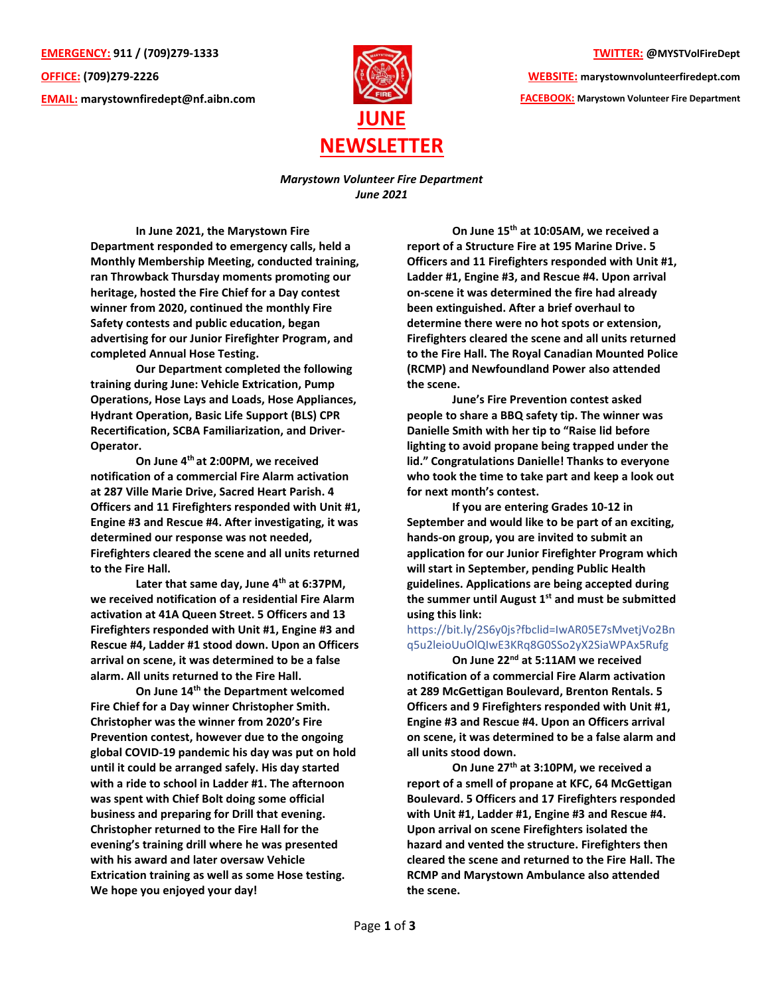**EMERGENCY: 911 / (709)279-1333 OFFICE: (709)279-2226 EMAIL: [marystownfiredept@nf.aibn.com](mailto:marystownfiredept@nf.aibn.com)**



**TWITTER: @MYSTVolFireDept**

**WEBSITE: marystownvolunteerfiredept.com FACEBOOK: Marystown Volunteer Fire Department**

*Marystown Volunteer Fire Department June 2021*

**In June 2021, the Marystown Fire Department responded to emergency calls, held a Monthly Membership Meeting, conducted training, ran Throwback Thursday moments promoting our heritage, hosted the Fire Chief for a Day contest winner from 2020, continued the monthly Fire Safety contests and public education, began advertising for our Junior Firefighter Program, and completed Annual Hose Testing.** 

**Our Department completed the following training during June: Vehicle Extrication, Pump Operations, Hose Lays and Loads, Hose Appliances, Hydrant Operation, Basic Life Support (BLS) CPR Recertification, SCBA Familiarization, and Driver-Operator.**

**On June 4th at 2:00PM, we received notification of a commercial Fire Alarm activation at 287 Ville Marie Drive, Sacred Heart Parish. 4 Officers and 11 Firefighters responded with Unit #1, Engine #3 and Rescue #4. After investigating, it was determined our response was not needed, Firefighters cleared the scene and all units returned to the Fire Hall.**

**Later that same day, June 4th at 6:37PM, we received notification of a residential Fire Alarm activation at 41A Queen Street. 5 Officers and 13 Firefighters responded with Unit #1, Engine #3 and Rescue #4, Ladder #1 stood down. Upon an Officers arrival on scene, it was determined to be a false alarm. All units returned to the Fire Hall.** 

**On June 14th the Department welcomed Fire Chief for a Day winner Christopher Smith. Christopher was the winner from 2020's Fire Prevention contest, however due to the ongoing global COVID-19 pandemic his day was put on hold until it could be arranged safely. His day started with a ride to school in Ladder #1. The afternoon was spent with Chief Bolt doing some official business and preparing for Drill that evening. Christopher returned to the Fire Hall for the evening's training drill where he was presented with his award and later oversaw Vehicle Extrication training as well as some Hose testing. We hope you enjoyed your day!** 

**On June 15th at 10:05AM, we received a report of a Structure Fire at 195 Marine Drive. 5 Officers and 11 Firefighters responded with Unit #1, Ladder #1, Engine #3, and Rescue #4. Upon arrival on-scene it was determined the fire had already been extinguished. After a brief overhaul to determine there were no hot spots or extension, Firefighters cleared the scene and all units returned to the Fire Hall. The Royal Canadian Mounted Police (RCMP) and Newfoundland Power also attended the scene.** 

**June's Fire Prevention contest asked people to share a BBQ safety tip. The winner was Danielle Smith with her tip to "Raise lid before lighting to avoid propane being trapped under the lid." Congratulations Danielle! Thanks to everyone who took the time to take part and keep a look out for next month's contest.** 

**If you are entering Grades 10-12 in September and would like to be part of an exciting, hands-on group, you are invited to submit an application for our Junior Firefighter Program which will start in September, pending Public Health guidelines. Applications are being accepted during the summer until August 1st and must be submitted using this link:** 

## [https://bit.ly/2S6y0js?fbclid=IwAR05E7sMvetjVo2Bn](https://bit.ly/2S6y0js?fbclid=IwAR05E7sMvetjVo2Bnq5u2leioUuOlQIwE3KRq8G0SSo2yX2SiaWPAx5Rufg) [q5u2leioUuOlQIwE3KRq8G0SSo2yX2SiaWPAx5Rufg](https://bit.ly/2S6y0js?fbclid=IwAR05E7sMvetjVo2Bnq5u2leioUuOlQIwE3KRq8G0SSo2yX2SiaWPAx5Rufg)

**On June 22nd at 5:11AM we received notification of a commercial Fire Alarm activation at 289 McGettigan Boulevard, Brenton Rentals. 5 Officers and 9 Firefighters responded with Unit #1, Engine #3 and Rescue #4. Upon an Officers arrival on scene, it was determined to be a false alarm and all units stood down.** 

**On June 27th at 3:10PM, we received a report of a smell of propane at KFC, 64 McGettigan Boulevard. 5 Officers and 17 Firefighters responded with Unit #1, Ladder #1, Engine #3 and Rescue #4. Upon arrival on scene Firefighters isolated the hazard and vented the structure. Firefighters then cleared the scene and returned to the Fire Hall. The RCMP and Marystown Ambulance also attended the scene.**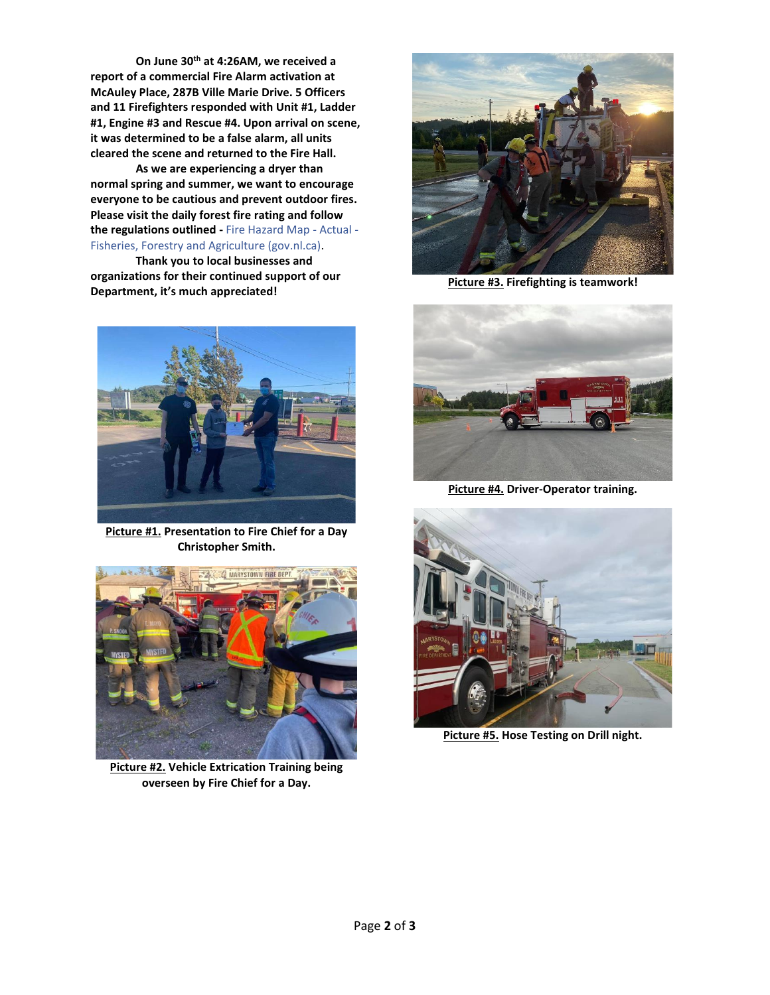**On June 30th at 4:26AM, we received a report of a commercial Fire Alarm activation at McAuley Place, 287B Ville Marie Drive. 5 Officers and 11 Firefighters responded with Unit #1, Ladder #1, Engine #3 and Rescue #4. Upon arrival on scene, it was determined to be a false alarm, all units cleared the scene and returned to the Fire Hall.** 

**As we are experiencing a dryer than normal spring and summer, we want to encourage everyone to be cautious and prevent outdoor fires. Please visit the daily forest fire rating and follow the regulations outlined -** [Fire Hazard Map -](https://www.gov.nl.ca/ffa/public-education/forestry/forest-fires/fire-hazard-map/) Actual - [Fisheries, Forestry and Agriculture \(gov.nl.ca\).](https://www.gov.nl.ca/ffa/public-education/forestry/forest-fires/fire-hazard-map/)

**Thank you to local businesses and** 

**organizations for their continued support of our Department, it's much appreciated!**



**Picture #1. Presentation to Fire Chief for a Day Christopher Smith.**



**Picture #2. Vehicle Extrication Training being overseen by Fire Chief for a Day.**



**Picture #3. Firefighting is teamwork!**



**Picture #4. Driver-Operator training.**



**Picture #5. Hose Testing on Drill night.**